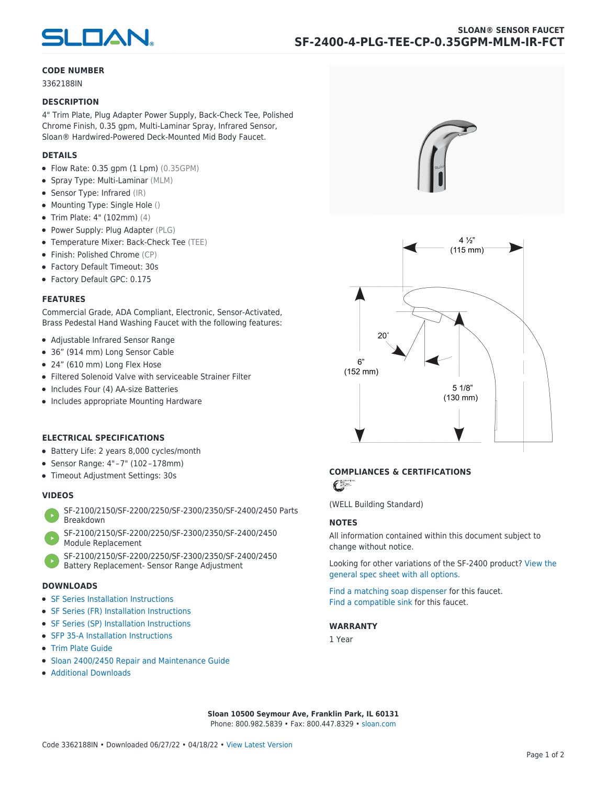

#### **CODE NUMBER**

3362188IN

#### **DESCRIPTION**

4" Trim Plate, Plug Adapter Power Supply, Back-Check Tee, Polished Chrome Finish, 0.35 gpm, Multi-Laminar Spray, Infrared Sensor, Sloan® Hardwired-Powered Deck-Mounted Mid Body Faucet.

#### **DETAILS**

- $\bullet$  Flow Rate: 0.35 gpm (1 Lpm) (0.35GPM)
- Spray Type: Multi-Laminar (MLM)
- Sensor Type: Infrared (IR)
- Mounting Type: Single Hole ()
- Trim Plate: 4" (102mm) (4)
- Power Supply: Plug Adapter (PLG)
- Temperature Mixer: Back-Check Tee (TEE)
- Finish: Polished Chrome (CP)
- Factory Default Timeout: 30s
- Factory Default GPC: 0.175

#### **FEATURES**

Commercial Grade, ADA Compliant, Electronic, Sensor-Activated, Brass Pedestal Hand Washing Faucet with the following features:

- Adjustable Infrared Sensor Range
- 36" (914 mm) Long Sensor Cable
- 24" (610 mm) Long Flex Hose
- Filtered Solenoid Valve with serviceable Strainer Filter
- Includes Four (4) AA-size Batteries
- Includes appropriate Mounting Hardware

### **ELECTRICAL SPECIFICATIONS**

- Battery Life: 2 years 8,000 cycles/month
- Sensor Range: 4" – 7" (102 – 178mm)
- Timeout Adjustment Settings: 30s

## **VIDEOS**

- [SF-2100/2150/SF-2200/2250/SF-2300/2350/SF-2400/2450 Parts](https://vimeo.com/307089947) [Breakdown](https://vimeo.com/307089947)
- [SF-2100/2150/SF-2200/2250/SF-2300/2350/SF-2400/2450](https://vimeo.com/307087494) [Module Replacement](https://vimeo.com/307087494)
- [SF-2100/2150/SF-2200/2250/SF-2300/2350/SF-2400/2450](https://vimeo.com/307085279) [Battery Replacement- Sensor Range Adjustment](https://vimeo.com/307085279)

#### **DOWNLOADS**

- [SF Series Installation Instructions](https://en.sloan.com/sites/default/files/2018-02/II0816496Rev5_0.pdf)
- [SF Series \(FR\) Installation Instructions](https://en.sloan.com/sites/default/files/2015-12/0816563-fr.pdf)
- [SF Series \(SP\) Installation Instructions](https://en.sloan.com/sites/default/files/2022-03/0816568SP_Rev2.pdf)
- [SFP 35-A Installation Instructions](https://en.sloan.com/sites/default/files/2015-12/0816817.pdf)
- [Trim Plate Guide](https://en.sloan.com/sites/default/files/2020-03/Trim_PlatesAllFaucets.pdf)
- [Sloan 2400/2450 Repair and Maintenance Guide](https://en.sloan.com/sites/default/files/2022-06/Sloan-SF-2400-2450.pdf)
- [Additional Downloads](https://en.sloan.com/commercial-bathroom-products/faucets/sloan/sf-2400)





# **COMPLIANCES & CERTIFICATIONS**

C

(WELL Building Standard)

#### **NOTES**

All information contained within this document subject to change without notice.

[Looking for other variations of the SF-2400 product? View the](https://en.sloan.com/general-spec/311) [general spec sheet with all options.](https://en.sloan.com/general-spec/311)

[Find a matching soap dispenser](https://en.sloan.com/commercial-bathroom-products/soap-dispensers) for this faucet. [Find a compatible sink](https://en.sloan.com/commercial-bathroom-products/sinks) for this faucet.

#### **WARRANTY**

1 Year

**Sloan 10500 Seymour Ave, Franklin Park, IL 60131** Phone: 800.982.5839 • Fax: 800.447.8329 • [sloan.com](https://www.sloan.com)